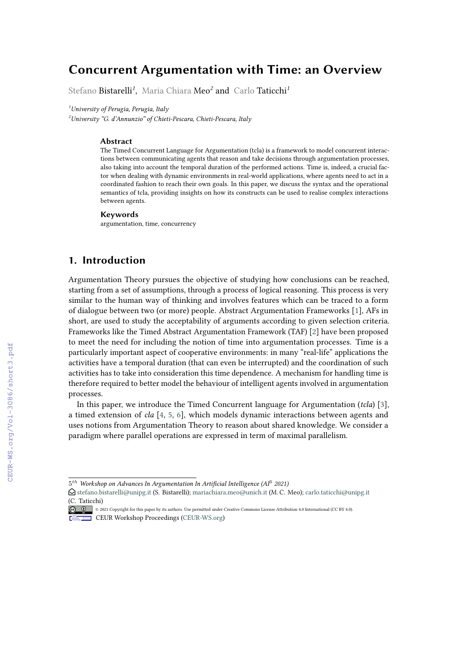# **Concurrent Argumentation with Time: an Overview**

Stefano Bistarelli*<sup>1</sup>* , Maria Chiara Meo*<sup>2</sup>* and Carlo Taticchi*<sup>1</sup>*

*<sup>1</sup>University of Perugia, Perugia, Italy*

*<sup>2</sup>University "G. d'Annunzio" of Chieti-Pescara, Chieti-Pescara, Italy*

#### **Abstract**

The Timed Concurrent Language for Argumentation (tcla) is a framework to model concurrent interactions between communicating agents that reason and take decisions through argumentation processes, also taking into account the temporal duration of the performed actions. Time is, indeed, a crucial factor when dealing with dynamic environments in real-world applications, where agents need to act in a coordinated fashion to reach their own goals. In this paper, we discuss the syntax and the operational semantics of tcla, providing insights on how its constructs can be used to realise complex interactions between agents.

#### **Keywords**

argumentation, time, concurrency

# **1. Introduction**

Argumentation Theory pursues the objective of studying how conclusions can be reached, starting from a set of assumptions, through a process of logical reasoning. This process is very similar to the human way of thinking and involves features which can be traced to a form of dialogue between two (or more) people. Abstract Argumentation Frameworks [\[1\]](#page--1-0), AFs in short, are used to study the acceptability of arguments according to given selection criteria. Frameworks like the Timed Abstract Argumentation Framework (TAF) [\[2\]](#page--1-1) have been proposed to meet the need for including the notion of time into argumentation processes. Time is a particularly important aspect of cooperative environments: in many "real-life" applications the activities have a temporal duration (that can even be interrupted) and the coordination of such activities has to take into consideration this time dependence. A mechanism for handling time is therefore required to better model the behaviour of intelligent agents involved in argumentation processes.

In this paper, we introduce the Timed Concurrent language for Argumentation (*tcla*) [\[3\]](#page--1-2), a timed extension of *cla* [\[4,](#page--1-3) [5,](#page--1-4) [6\]](#page--1-5), which models dynamic interactions between agents and uses notions from Argumentation Theory to reason about shared knowledge. We consider a paradigm where parallel operations are expressed in term of maximal parallelism.

 $5^{th}$  Workshop on Advances In Argumentation In Artificial Intelligence (AI $^3$  2021)

 $\bigcirc$  [stefano.bistarelli@unipg.it](mailto:stefano.bistarelli@unipg.it) (S. Bistarelli); [mariachiara.meo@unich.it](mailto:mariachiara.meo@unich.it) (M. C. Meo); [carlo.taticchi@unipg.it](mailto:carlo.taticchi@unipg.it) [\(C. Taticc](https://creativecommons.org/licenses/by/4.0)hi)

<sup>©</sup> 2021 Copyright for this paper by its authors. Use permitted under Creative Commons License Attribution 4.0 International (CC BY 4.0). **CEUR Workshop [Proceedings](http://ceur-ws.org) [\(CEUR-WS.org\)](http://ceur-ws.org)**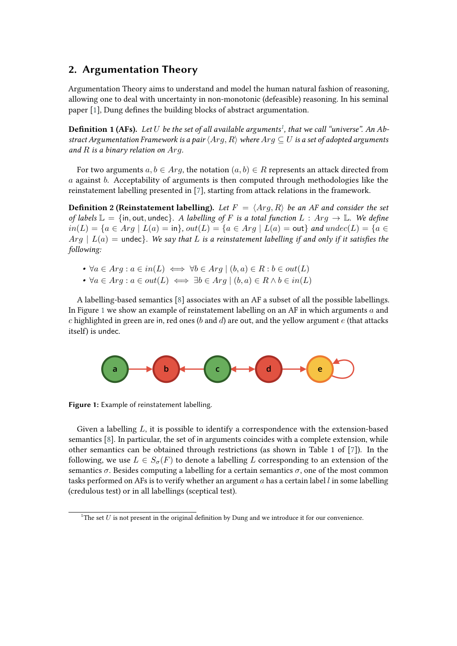### **2. Argumentation Theory**

Argumentation Theory aims to understand and model the human natural fashion of reasoning, allowing one to deal with uncertainty in non-monotonic (defeasible) reasoning. In his seminal paper [\[1\]](#page-4-0), Dung defines the building blocks of abstract argumentation.

**Definition 1 (AFs).** *Let be the set of all available arguments[1](#page-1-0) , that we call "universe". An Abstract Argumentation Framework is a pair*  $\langle Arg, R \rangle$  *where*  $Arg \subseteq U$  *is a set of adopted arguments* and  $R$  is a binary relation on  $Arg$ .

For two arguments  $a, b \in Arg$ , the notation  $(a, b) \in R$  represents an attack directed from  $a$  against  $b$ . Acceptability of arguments is then computed through methodologies like the reinstatement labelling presented in [\[7\]](#page-4-1), starting from attack relations in the framework.

**Definition 2 (Reinstatement labelling).** Let  $F = \langle Arg, R \rangle$  be an AF and consider the set *of labels*  $\mathbb{L} = \{\text{in}, \text{out}, \text{undec}\}\$ . A labelling of F is a total function  $L : Arg \to \mathbb{L}$ . We define  $in(L) = {a \in Arg \mid L(a) = in}, out(L) = {a \in Arg \mid L(a) = out}$  and  $undec(L) = {a \in Arg \mid L(a) = in}$  $Arg \mid L(a) =$  undec}. We say that L is a reinstatement labelling if and only if it satisfies the *following:*

•  $\forall a \in Arg : a \in in(L) \iff \forall b \in Arg \mid (b, a) \in R : b \in out(L)$ 

•  $\forall a \in Arg : a \in out(L) \iff \exists b \in Arg \mid (b, a) \in R \land b \in in(L)$ 

A labelling-based semantics [\[8\]](#page-4-2) associates with an AF a subset of all the possible labellings. In Figure [1](#page-1-1) we show an example of reinstatement labelling on an AF in which arguments  $a$  and c highlighted in green are in, red ones (b and d) are out, and the yellow argument  $e$  (that attacks itself) is undec.

<span id="page-1-1"></span>

**Figure 1:** Example of reinstatement labelling.

Given a labelling  $L$ , it is possible to identify a correspondence with the extension-based semantics [\[8\]](#page-4-2). In particular, the set of in arguments coincides with a complete extension, while other semantics can be obtained through restrictions (as shown in Table 1 of [\[7\]](#page-4-1)). In the following, we use  $L \in S_{\sigma}(F)$  to denote a labelling L corresponding to an extension of the semantics  $\sigma$ . Besides computing a labelling for a certain semantics  $\sigma$ , one of the most common tasks performed on AFs is to verify whether an argument  $a$  has a certain label  $l$  in some labelling (credulous test) or in all labellings (sceptical test).

<span id="page-1-0"></span><sup>&</sup>lt;sup>1</sup>The set  $U$  is not present in the original definition by Dung and we introduce it for our convenience.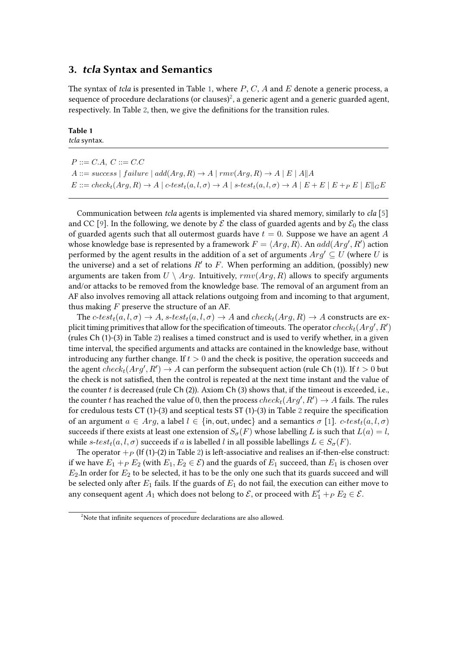### **3. tcla Syntax and Semantics**

The syntax of *tcla* is presented in Table [1,](#page-2-0) where  $P$ ,  $C$ ,  $A$  and  $E$  denote a generic process, a sequence of procedure declarations (or clauses)<sup>[2](#page-2-1)</sup>, a generic agent and a generic guarded agent, respectively. In Table [2,](#page-3-0) then, we give the definitions for the transition rules.

#### <span id="page-2-0"></span>**Table 1** *tcla* syntax.

| $P ::= C.A, C ::= C.C$                                                                                                                                          |
|-----------------------------------------------------------------------------------------------------------------------------------------------------------------|
| $A ::= success \mid failure \mid add(Arg, R) \rightarrow A \mid rmv(Arg, R) \rightarrow A \mid E \mid A  A$                                                     |
| $E ::= check_t(Arg, R) \rightarrow A \mid c-test_t(a, l, \sigma) \rightarrow A \mid s-test_t(a, l, \sigma) \rightarrow A \mid E + E \mid E + P \mid E \mid G E$ |

Communication between *tcla* agents is implemented via shared memory, similarly to *cla* [\[5\]](#page-4-3) and CC [\[9\]](#page-4-4). In the following, we denote by  $\mathcal E$  the class of guarded agents and by  $\mathcal E_0$  the class of guarded agents such that all outermost guards have  $t = 0$ . Suppose we have an agent A whose knowledge base is represented by a framework  $F = \langle Arg, R \rangle$ . An  $add(Arg', R')$  action performed by the agent results in the addition of a set of arguments  $Arg' \subseteq U$  (where U is the universe) and a set of relations  $R'$  to  $F$ . When performing an addition, (possibly) new arguments are taken from  $U \setminus Arg$ . Intuitively,  $\text{rmv}(Arg, R)$  allows to specify arguments and/or attacks to be removed from the knowledge base. The removal of an argument from an AF also involves removing all attack relations outgoing from and incoming to that argument, thus making  $F$  preserve the structure of an AF.

The  $c\text{-}test_t(a, l, \sigma) \rightarrow A$ ,  $s\text{-}test_t(a, l, \sigma) \rightarrow A$  and  $check_t(Arg, R) \rightarrow A$  constructs are explicit timing primitives that allow for the specification of timeouts. The operator  $check_t(Arg', R')$ (rules Ch (1)-(3) in Table [2\)](#page-3-0) realises a timed construct and is used to verify whether, in a given time interval, the specified arguments and attacks are contained in the knowledge base, without introducing any further change. If  $t > 0$  and the check is positive, the operation succeeds and the agent  $check_t(Arg', R') \to A$  can perform the subsequent action (rule Ch (1)). If  $t > 0$  but the check is not satisfied, then the control is repeated at the next time instant and the value of the counter  $t$  is decreased (rule Ch (2)). Axiom Ch (3) shows that, if the timeout is exceeded, i.e., the counter  $t$  has reached the value of  $0$ , then the process  $check_t(Arg', R') \rightarrow A$  fails. The rules for credulous tests CT (1)-(3) and sceptical tests ST (1)-(3) in Table [2](#page-3-0) require the specification of an argument  $a \in Arg$ , a label  $l \in \{in, \text{out}, \text{undec}\}\$ and a semantics  $\sigma$  [\[1\]](#page-4-0).  $c\text{-}test<sub>t</sub>(a, l, \sigma)$ succeeds if there exists at least one extension of  $S_{\sigma}(F)$  whose labelling L is such that  $L(a) = l$ , while s-test<sub>t</sub>(a, l,  $\sigma$ ) succeeds if a is labelled l in all possible labellings  $L \in S_{\sigma}(F)$ .

The operator  $+p$  (If (1)-([2\)](#page-3-0) in Table 2) is left-associative and realises an if-then-else construct: if we have  $E_1 +_P E_2$  (with  $E_1, E_2 \in \mathcal{E}$ ) and the guards of  $E_1$  succeed, than  $E_1$  is chosen over  $E_2$ . In order for  $E_2$  to be selected, it has to be the only one such that its guards succeed and will be selected only after  $E_1$  fails. If the guards of  $E_1$  do not fail, the execution can either move to any consequent agent  $A_1$  which does not belong to  $\mathcal E$ , or proceed with  $E'_1 +_P E_2 \in \mathcal E$ .

<span id="page-2-1"></span><sup>&</sup>lt;sup>2</sup>Note that infinite sequences of procedure declarations are also allowed.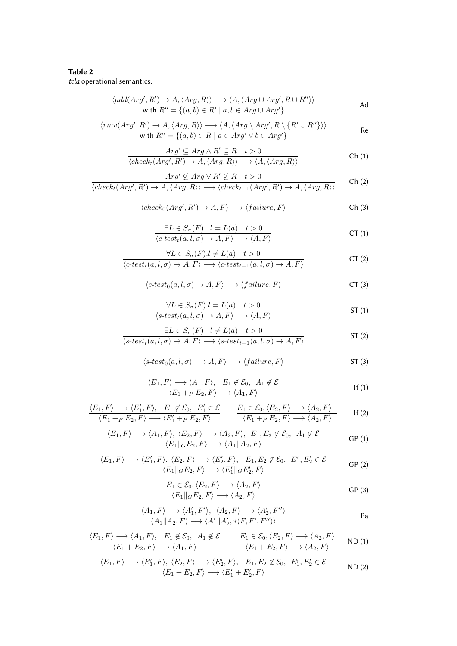#### <span id="page-3-0"></span>Table 2 tcla operational semantics.

$$
\langle add(Arg', R') \to A, \langle Arg, R \rangle \rangle \longrightarrow \langle A, \langle Arg \cup Arg', R \cup R'' \rangle \rangle
$$
  
with  $R'' = \{(a, b) \in R' \mid a, b \in Arg \cup Arg'\}$ 

$$
\langle rmv(Arg', R') \to A, \langle Arg, R \rangle \rangle \longrightarrow \langle A, \langle Arg \setminus Arg', R \setminus \{R' \cup R''\} \rangle \rangle
$$
  
with  $R'' = \{(a, b) \in R \mid a \in Arg' \vee b \in Arg'\}$ 

$$
\frac{Arg' \subseteq Arg \land R' \subseteq R \quad t > 0}{\langle check_t(Arg', R') \to A, \langle Arg, R \rangle \rangle \longrightarrow \langle A, \langle Arg, R \rangle \rangle} \tag{Ch(1)}
$$

$$
\frac{Arg' \not\subseteq Arg \lor R' \not\subseteq R \quad t > 0}{\langle check_t(Arg', R') \to A, \langle Arg, R \rangle \rangle \longrightarrow \langle check_{t-1}(Arg', R') \to A, \langle Arg, R \rangle \rangle} \qquad \text{Ch (2)}
$$

$$
\langle check_0(Arg', R') \to A, F \rangle \longrightarrow \langle failure, F \rangle
$$
 Ch (3)

$$
\frac{\exists L \in S_{\sigma}(F) \mid l = L(a) \quad t > 0}{\langle c\text{-}test_t(a, l, \sigma) \to A, F \rangle \longrightarrow \langle A, F \rangle}
$$
 CT (1)

$$
\frac{\forall L \in S_{\sigma}(F). l \neq L(a) \quad t > 0}{\langle c\text{-}test_t(a, l, \sigma) \to A, F \rangle} \qquad \qquad \text{CT (2)}
$$

$$
\langle c\text{-}test_0(a, l, \sigma) \to A, F \rangle \longrightarrow \langle failure, F \rangle \tag{CT (3)}
$$

$$
\frac{\forall L \in S_{\sigma}(F).l = L(a) \quad t > 0}{\langle s\text{-}test_t(a, l, \sigma) \to A, F \rangle \longrightarrow \langle A, F \rangle} \quad \text{ST (1)}
$$

$$
\frac{\exists L \in S_{\sigma}(F) \mid l \neq L(a) \quad t > 0}{\langle s\text{-}test_t(a, l, \sigma) \to A, F \rangle} \quad \text{ST (2)}
$$

$$
\langle s\text{-}test_0(a, l, \sigma) \longrightarrow A, F \rangle \longrightarrow \langle failure, F \rangle \qquad \qquad \text{ST (3)}
$$

$$
\frac{\langle E_1, F \rangle \longrightarrow \langle A_1, F \rangle, \quad E_1 \notin \mathcal{E}_0, \ A_1 \notin \mathcal{E}}{\langle E_1 + P E_2, F \rangle \longrightarrow \langle A_1, F \rangle} \qquad \qquad \text{If (1)}
$$

$$
\frac{\langle E_1, F \rangle \longrightarrow \langle E_1', F \rangle, E_1 \notin \mathcal{E}_0, E_1' \in \mathcal{E} \qquad E_1 \in \mathcal{E}_0, \langle E_2, F \rangle \longrightarrow \langle A_2, F \rangle}{\langle E_1 +_P E_2, F \rangle \longrightarrow \langle E_1' +_P E_2, F \rangle} \qquad \text{If (2)}
$$

$$
\frac{\langle E_1, F \rangle \longrightarrow \langle A_1, F \rangle, \langle E_2, F \rangle \longrightarrow \langle A_2, F \rangle, E_1, E_2 \notin \mathcal{E}_0, A_1 \notin \mathcal{E} \langle E_1 | G E_2, F \rangle \longrightarrow \langle A_1 | A_2, F \rangle}{{\langle E_1 | G E_2, F \rangle \longrightarrow \langle A_1 | A_2, F \rangle}}
$$
 GP (1)

$$
\frac{\langle E_1, F \rangle \longrightarrow \langle E_1', F \rangle, \langle E_2, F \rangle \longrightarrow \langle E_2', F \rangle, \quad E_1, E_2 \notin \mathcal{E}_0, \quad E_1', E_2' \in \mathcal{E} \quad \langle E_1 \|_G E_2, F \rangle \longrightarrow \langle E_1' \|_G E_2', F \rangle} \qquad \text{GP (2)}
$$

$$
\frac{E_1 \in \mathcal{E}_0, \langle E_2, F \rangle \longrightarrow \langle A_2, F \rangle}{\langle E_1 \| G E_2, F \rangle \longrightarrow \langle A_2, F \rangle}
$$
 GP (3)

$$
\frac{\langle A_1, F \rangle \longrightarrow \langle A'_1, F' \rangle, \ \langle A_2, F \rangle \longrightarrow \langle A'_2, F'' \rangle}{\langle A_1 || A_2, F \rangle \longrightarrow \langle A'_1 || A'_2, *(F, F', F'') \rangle}
$$
 Pa

$$
\frac{\langle E_1, F \rangle \longrightarrow \langle A_1, F \rangle, E_1 \notin \mathcal{E}_0, A_1 \notin \mathcal{E}}{\langle E_1 + E_2, F \rangle \longrightarrow \langle A_1, F \rangle} \qquad \frac{E_1 \in \mathcal{E}_0, \langle E_2, F \rangle \longrightarrow \langle A_2, F \rangle}{\langle E_1 + E_2, F \rangle \longrightarrow \langle A_2, F \rangle} \qquad \text{ND (1)}
$$

$$
\frac{\langle E_1, F \rangle \longrightarrow \langle E_1', F \rangle, \langle E_2, F \rangle \longrightarrow \langle E_2', F \rangle, \quad E_1, E_2 \notin \mathcal{E}_0, \quad E_1', E_2' \in \mathcal{E} \quad \text{(D)} (2)}{\langle E_1 + E_2, F \rangle \longrightarrow \langle E_1' + E_2', F \rangle}
$$